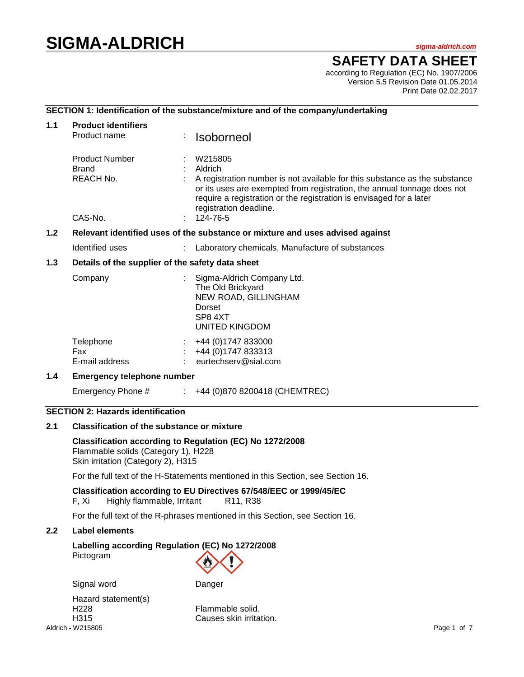# **SIGMA-ALDRICH** *sigma-aldrich.com*

# **SAFETY DATA SHEET**

according to Regulation (EC) No. 1907/2006 Version 5.5 Revision Date 01.05.2014 Print Date 02.02.2017

# **SECTION 1: Identification of the substance/mixture and of the company/undertaking**

| 1.1 | <b>Product identifiers</b>                                                    |   |                                                                                                                                                                                                                                                                                          |
|-----|-------------------------------------------------------------------------------|---|------------------------------------------------------------------------------------------------------------------------------------------------------------------------------------------------------------------------------------------------------------------------------------------|
|     | Product name                                                                  | ÷ | <b>Isoborneol</b>                                                                                                                                                                                                                                                                        |
|     | <b>Product Number</b><br>Brand<br>REACH No.<br>CAS-No.                        |   | W215805<br>Aldrich<br>A registration number is not available for this substance as the substance<br>or its uses are exempted from registration, the annual tonnage does not<br>require a registration or the registration is envisaged for a later<br>registration deadline.<br>124-76-5 |
|     |                                                                               |   |                                                                                                                                                                                                                                                                                          |
| 1.2 | Relevant identified uses of the substance or mixture and uses advised against |   |                                                                                                                                                                                                                                                                                          |
|     | Identified uses                                                               |   | : Laboratory chemicals, Manufacture of substances                                                                                                                                                                                                                                        |
| 1.3 | Details of the supplier of the safety data sheet                              |   |                                                                                                                                                                                                                                                                                          |
|     | Company                                                                       |   | Sigma-Aldrich Company Ltd.<br>The Old Brickyard<br>NEW ROAD, GILLINGHAM<br>Dorset<br>SP8 4XT<br><b>UNITED KINGDOM</b>                                                                                                                                                                    |

| Telephone<br>Fax | $\div$ +44 (0)1747 833000<br>$\div$ +44 (0)1747 833313 |
|------------------|--------------------------------------------------------|
| E-mail address   | eurtechserv@sial.com                                   |

### **1.4 Emergency telephone number**

Emergency Phone # : +44 (0)870 8200418 (CHEMTREC)

# **SECTION 2: Hazards identification**

## **2.1 Classification of the substance or mixture**

**Classification according to Regulation (EC) No 1272/2008** Flammable solids (Category 1), H228 Skin irritation (Category 2), H315

For the full text of the H-Statements mentioned in this Section, see Section 16.

### **Classification according to EU Directives 67/548/EEC or 1999/45/EC**

F, Xi Highly flammable, Irritant R11, R38

For the full text of the R-phrases mentioned in this Section, see Section 16.

#### **2.2 Label elements**

### **Labelling according Regulation (EC) No 1272/2008** Pictogram

Signal word Danger



Aldrich **-** W215805 Page 1 of 7 Hazard statement(s) H228 Flammable solid.

H315 Causes skin irritation.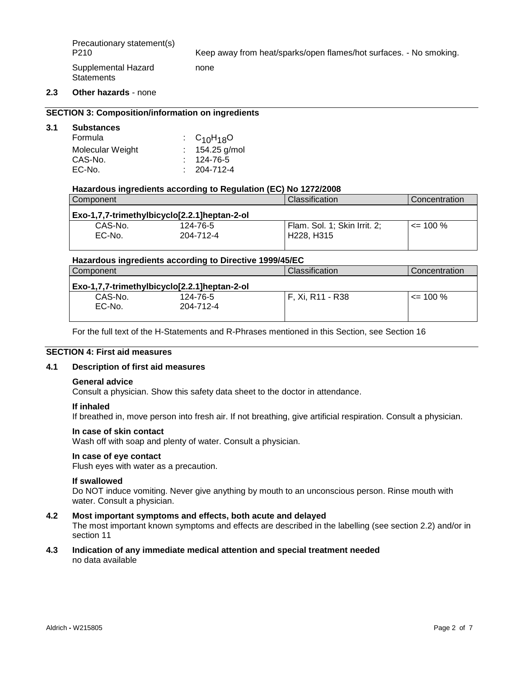Precautionary statement(s)<br>P210

Keep away from heat/sparks/open flames/hot surfaces. - No smoking.

Supplemental Hazard **Statements** 

#### **2.3 Other hazards** - none

#### **SECTION 3: Composition/information on ingredients**

#### **3.1 Substances**

| Formula          | $\cdot$ C <sub>10</sub> H <sub>18</sub> O |
|------------------|-------------------------------------------|
| Molecular Weight | $: 154.25$ g/mol                          |
| CAS-No.          | $: 124 - 76 - 5$                          |
| EC-No.           | $: 204 - 712 - 4$                         |

#### **Hazardous ingredients according to Regulation (EC) No 1272/2008**

none

| Component                                    |           | <b>Classification</b>             | Concentration |  |
|----------------------------------------------|-----------|-----------------------------------|---------------|--|
| Exo-1,7,7-trimethylbicyclo[2.2.1]heptan-2-ol |           |                                   |               |  |
| CAS-No.                                      | 124-76-5  | Flam. Sol. 1; Skin Irrit. 2;      | $\leq$ 100 %  |  |
| EC-No.                                       | 204-712-4 | H <sub>228</sub> H <sub>315</sub> |               |  |
|                                              |           |                                   |               |  |

#### **Hazardous ingredients according to Directive 1999/45/EC**

| Component          |                                              | Classification   | Concentration |  |
|--------------------|----------------------------------------------|------------------|---------------|--|
|                    | Exo-1,7,7-trimethylbicyclo[2.2.1]heptan-2-ol |                  |               |  |
| CAS-No.<br>$EC-No$ | 124-76-5<br>204-712-4                        | F. Xi. R11 - R38 | $\leq$ 100 %  |  |

For the full text of the H-Statements and R-Phrases mentioned in this Section, see Section 16

# **SECTION 4: First aid measures**

#### **4.1 Description of first aid measures**

#### **General advice**

Consult a physician. Show this safety data sheet to the doctor in attendance.

#### **If inhaled**

If breathed in, move person into fresh air. If not breathing, give artificial respiration. Consult a physician.

#### **In case of skin contact**

Wash off with soap and plenty of water. Consult a physician.

#### **In case of eye contact**

Flush eyes with water as a precaution.

#### **If swallowed**

Do NOT induce vomiting. Never give anything by mouth to an unconscious person. Rinse mouth with water. Consult a physician.

# **4.2 Most important symptoms and effects, both acute and delayed**

The most important known symptoms and effects are described in the labelling (see section 2.2) and/or in section 11

#### **4.3 Indication of any immediate medical attention and special treatment needed** no data available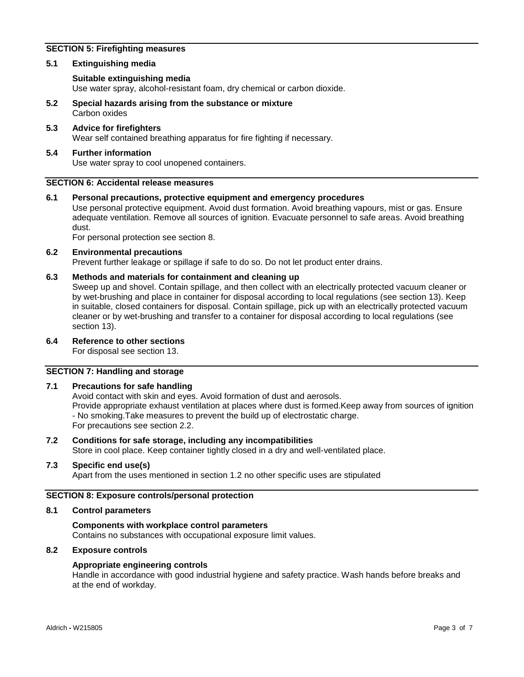# **SECTION 5: Firefighting measures**

#### **5.1 Extinguishing media**

#### **Suitable extinguishing media**

Use water spray, alcohol-resistant foam, dry chemical or carbon dioxide.

- **5.2 Special hazards arising from the substance or mixture** Carbon oxides
- **5.3 Advice for firefighters** Wear self contained breathing apparatus for fire fighting if necessary.

#### **5.4 Further information** Use water spray to cool unopened containers.

#### **SECTION 6: Accidental release measures**

#### **6.1 Personal precautions, protective equipment and emergency procedures**

Use personal protective equipment. Avoid dust formation. Avoid breathing vapours, mist or gas. Ensure adequate ventilation. Remove all sources of ignition. Evacuate personnel to safe areas. Avoid breathing dust.

For personal protection see section 8.

#### **6.2 Environmental precautions** Prevent further leakage or spillage if safe to do so. Do not let product enter drains.

# **6.3 Methods and materials for containment and cleaning up**

Sweep up and shovel. Contain spillage, and then collect with an electrically protected vacuum cleaner or by wet-brushing and place in container for disposal according to local regulations (see section 13). Keep in suitable, closed containers for disposal. Contain spillage, pick up with an electrically protected vacuum cleaner or by wet-brushing and transfer to a container for disposal according to local regulations (see section 13).

# **6.4 Reference to other sections**

For disposal see section 13.

# **SECTION 7: Handling and storage**

### **7.1 Precautions for safe handling**

Avoid contact with skin and eyes. Avoid formation of dust and aerosols. Provide appropriate exhaust ventilation at places where dust is formed.Keep away from sources of ignition - No smoking.Take measures to prevent the build up of electrostatic charge. For precautions see section 2.2.

# **7.2 Conditions for safe storage, including any incompatibilities**

Store in cool place. Keep container tightly closed in a dry and well-ventilated place.

# **7.3 Specific end use(s)**

Apart from the uses mentioned in section 1.2 no other specific uses are stipulated

#### **SECTION 8: Exposure controls/personal protection**

#### **8.1 Control parameters**

# **Components with workplace control parameters**

Contains no substances with occupational exposure limit values.

#### **8.2 Exposure controls**

# **Appropriate engineering controls**

Handle in accordance with good industrial hygiene and safety practice. Wash hands before breaks and at the end of workday.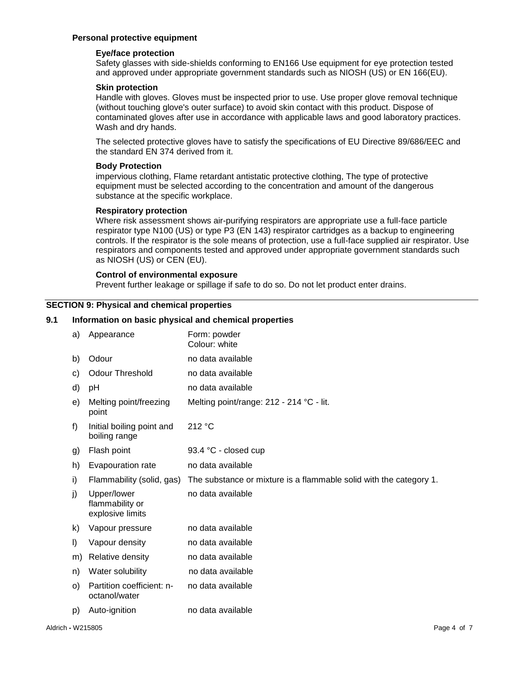#### **Personal protective equipment**

#### **Eye/face protection**

Safety glasses with side-shields conforming to EN166 Use equipment for eye protection tested and approved under appropriate government standards such as NIOSH (US) or EN 166(EU).

#### **Skin protection**

Handle with gloves. Gloves must be inspected prior to use. Use proper glove removal technique (without touching glove's outer surface) to avoid skin contact with this product. Dispose of contaminated gloves after use in accordance with applicable laws and good laboratory practices. Wash and dry hands.

The selected protective gloves have to satisfy the specifications of EU Directive 89/686/EEC and the standard EN 374 derived from it.

#### **Body Protection**

impervious clothing, Flame retardant antistatic protective clothing, The type of protective equipment must be selected according to the concentration and amount of the dangerous substance at the specific workplace.

#### **Respiratory protection**

Where risk assessment shows air-purifying respirators are appropriate use a full-face particle respirator type N100 (US) or type P3 (EN 143) respirator cartridges as a backup to engineering controls. If the respirator is the sole means of protection, use a full-face supplied air respirator. Use respirators and components tested and approved under appropriate government standards such as NIOSH (US) or CEN (EU).

#### **Control of environmental exposure**

Prevent further leakage or spillage if safe to do so. Do not let product enter drains.

#### **SECTION 9: Physical and chemical properties**

#### **9.1 Information on basic physical and chemical properties**

| a)      | Appearance                                         | Form: powder<br>Colour: white                                      |
|---------|----------------------------------------------------|--------------------------------------------------------------------|
| b)      | Odour                                              | no data available                                                  |
| C)      | <b>Odour Threshold</b>                             | no data available                                                  |
| d)      | рH                                                 | no data available                                                  |
| e)      | Melting point/freezing<br>point                    | Melting point/range: 212 - 214 °C - lit.                           |
| f)      | Initial boiling point and<br>boiling range         | 212 °C                                                             |
| g)      | Flash point                                        | 93.4 °C - closed cup                                               |
| h)      | Evapouration rate                                  | no data available                                                  |
|         |                                                    |                                                                    |
| i)      | Flammability (solid, gas)                          | The substance or mixture is a flammable solid with the category 1. |
| j)      | Upper/lower<br>flammability or<br>explosive limits | no data available                                                  |
| k)      | Vapour pressure                                    | no data available                                                  |
| $\vert$ | Vapour density                                     | no data available                                                  |
| m)      | Relative density                                   | no data available                                                  |
| n)      | Water solubility                                   | no data available                                                  |
| $\circ$ | Partition coefficient: n-<br>octanol/water         | no data available                                                  |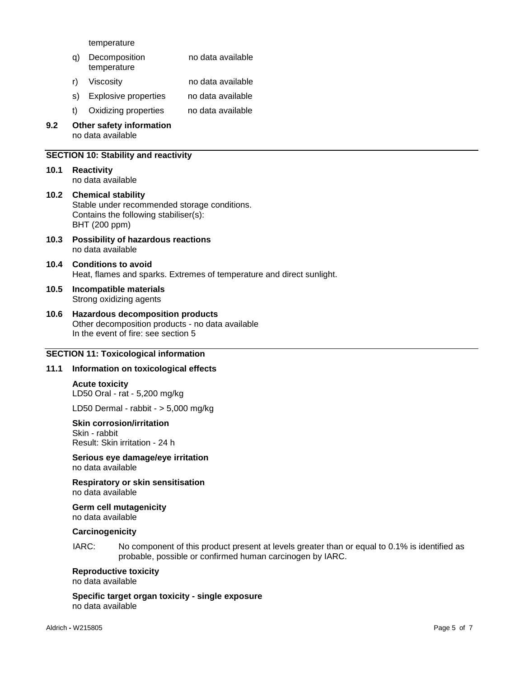temperature

- q) Decomposition temperature no data available r) Viscosity no data available
- s) Explosive properties no data available
- t) Oxidizing properties no data available
- **9.2 Other safety information** no data available

#### **SECTION 10: Stability and reactivity**

- **10.1 Reactivity** no data available
- **10.2 Chemical stability** Stable under recommended storage conditions. Contains the following stabiliser(s): BHT (200 ppm)
- **10.3 Possibility of hazardous reactions** no data available
- **10.4 Conditions to avoid** Heat, flames and sparks. Extremes of temperature and direct sunlight.
- **10.5 Incompatible materials** Strong oxidizing agents
- **10.6 Hazardous decomposition products** Other decomposition products - no data available In the event of fire: see section 5

#### **SECTION 11: Toxicological information**

#### **11.1 Information on toxicological effects**

**Acute toxicity** LD50 Oral - rat - 5,200 mg/kg

LD50 Dermal - rabbit - > 5,000 mg/kg

#### **Skin corrosion/irritation**

Skin - rabbit Result: Skin irritation - 24 h

**Serious eye damage/eye irritation** no data available

**Respiratory or skin sensitisation** no data available

**Germ cell mutagenicity** no data available

#### **Carcinogenicity**

IARC: No component of this product present at levels greater than or equal to 0.1% is identified as probable, possible or confirmed human carcinogen by IARC.

## **Reproductive toxicity**

no data available

**Specific target organ toxicity - single exposure** no data available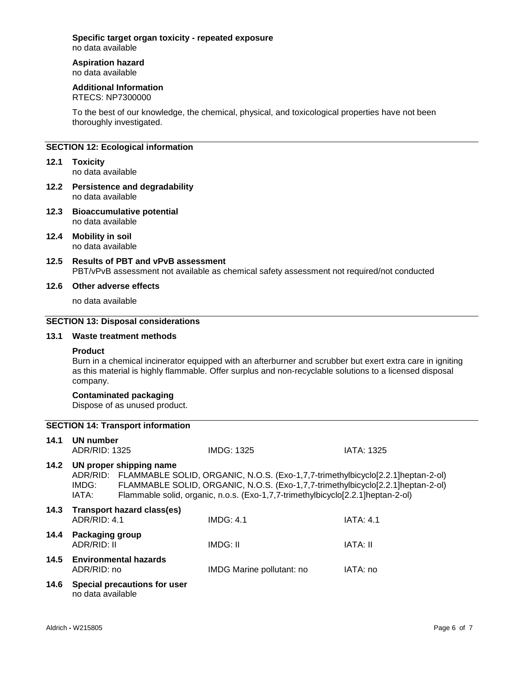# **Specific target organ toxicity - repeated exposure**

no data available

#### **Aspiration hazard** no data available

# **Additional Information**

RTECS: NP7300000

To the best of our knowledge, the chemical, physical, and toxicological properties have not been thoroughly investigated.

# **SECTION 12: Ecological information**

- **12.1 Toxicity** no data available
- **12.2 Persistence and degradability** no data available
- **12.3 Bioaccumulative potential** no data available
- **12.4 Mobility in soil** no data available
- **12.5 Results of PBT and vPvB assessment** PBT/vPvB assessment not available as chemical safety assessment not required/not conducted

# **12.6 Other adverse effects**

no data available

#### **SECTION 13: Disposal considerations**

#### **13.1 Waste treatment methods**

#### **Product**

Burn in a chemical incinerator equipped with an afterburner and scrubber but exert extra care in igniting as this material is highly flammable. Offer surplus and non-recyclable solutions to a licensed disposal company.

#### **Contaminated packaging**

Dispose of as unused product.

# **SECTION 14: Transport information**

| 14.1 | UN number<br>ADR/RID: 1325     |                              | <b>IMDG: 1325</b>                                                                                                                                                                                                                                              | <b>IATA: 1325</b> |
|------|--------------------------------|------------------------------|----------------------------------------------------------------------------------------------------------------------------------------------------------------------------------------------------------------------------------------------------------------|-------------------|
| 14.2 | IMDG:<br>IATA:                 | UN proper shipping name      | ADR/RID: FLAMMABLE SOLID, ORGANIC, N.O.S. (Exo-1,7,7-trimethylbicyclo[2.2.1]heptan-2-ol)<br>FLAMMABLE SOLID, ORGANIC, N.O.S. (Exo-1,7,7-trimethylbicyclo[2.2.1]heptan-2-ol)<br>Flammable solid, organic, n.o.s. (Exo-1,7,7-trimethylbicyclo[2.2.1]heptan-2-ol) |                   |
| 14.3 | ADR/RID: 4.1                   | Transport hazard class(es)   | IMDG: 4.1                                                                                                                                                                                                                                                      | IATA: 4.1         |
| 14.4 | Packaging group<br>ADR/RID: II |                              | IMDG: II                                                                                                                                                                                                                                                       | IATA: II          |
| 14.5 | ADR/RID: no                    | <b>Environmental hazards</b> | IMDG Marine pollutant: no                                                                                                                                                                                                                                      | IATA: no          |
| 14.6 | no data available              | Special precautions for user |                                                                                                                                                                                                                                                                |                   |